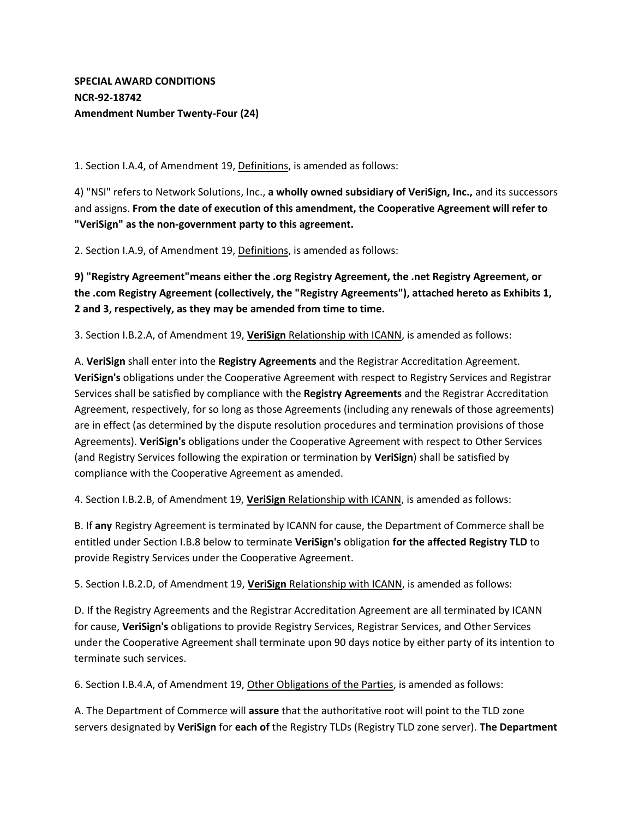## **SPECIAL AWARD CONDITIONS NCR-92-18742 Amendment Number Twenty-Four (24)**

1. Section I.A.4, of Amendment 19, Definitions, is amended as follows:

4) "NSI" refers to Network Solutions, Inc., **a wholly owned subsidiary of VeriSign, Inc.,** and its successors and assigns. **From the date of execution of this amendment, the Cooperative Agreement will refer to "VeriSign" as the non-government party to this agreement.**

2. Section I.A.9, of Amendment 19, Definitions, is amended as follows:

**9) "Registry Agreement"means either the .org Registry Agreement, the .net Registry Agreement, or the .com Registry Agreement (collectively, the "Registry Agreements"), attached hereto as Exhibits 1, 2 and 3, respectively, as they may be amended from time to time.**

3. Section I.B.2.A, of Amendment 19, **VeriSign** Relationship with ICANN, is amended as follows:

A. **VeriSign** shall enter into the **Registry Agreements** and the Registrar Accreditation Agreement. **VeriSign's** obligations under the Cooperative Agreement with respect to Registry Services and Registrar Services shall be satisfied by compliance with the **Registry Agreements** and the Registrar Accreditation Agreement, respectively, for so long as those Agreements (including any renewals of those agreements) are in effect (as determined by the dispute resolution procedures and termination provisions of those Agreements). **VeriSign's** obligations under the Cooperative Agreement with respect to Other Services (and Registry Services following the expiration or termination by **VeriSign**) shall be satisfied by compliance with the Cooperative Agreement as amended.

4. Section I.B.2.B, of Amendment 19, **VeriSign** Relationship with ICANN, is amended as follows:

B. If **any** Registry Agreement is terminated by ICANN for cause, the Department of Commerce shall be entitled under Section I.B.8 below to terminate **VeriSign's** obligation **for the affected Registry TLD** to provide Registry Services under the Cooperative Agreement.

5. Section I.B.2.D, of Amendment 19, **VeriSign** Relationship with ICANN, is amended as follows:

D. If the Registry Agreements and the Registrar Accreditation Agreement are all terminated by ICANN for cause, **VeriSign's** obligations to provide Registry Services, Registrar Services, and Other Services under the Cooperative Agreement shall terminate upon 90 days notice by either party of its intention to terminate such services.

6. Section I.B.4.A, of Amendment 19, Other Obligations of the Parties, is amended as follows:

A. The Department of Commerce will **assure** that the authoritative root will point to the TLD zone servers designated by **VeriSign** for **each of** the Registry TLDs (Registry TLD zone server). **The Department**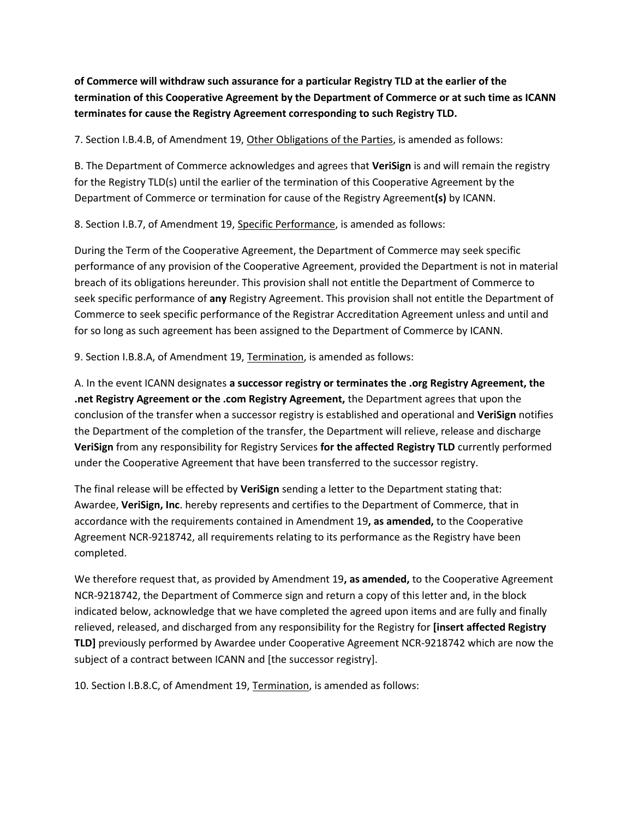## **of Commerce will withdraw such assurance for a particular Registry TLD at the earlier of the termination of this Cooperative Agreement by the Department of Commerce or at such time as ICANN terminates for cause the Registry Agreement corresponding to such Registry TLD.**

7. Section I.B.4.B, of Amendment 19, Other Obligations of the Parties, is amended as follows:

B. The Department of Commerce acknowledges and agrees that **VeriSign** is and will remain the registry for the Registry TLD(s) until the earlier of the termination of this Cooperative Agreement by the Department of Commerce or termination for cause of the Registry Agreement**(s)** by ICANN.

8. Section I.B.7, of Amendment 19, Specific Performance, is amended as follows:

During the Term of the Cooperative Agreement, the Department of Commerce may seek specific performance of any provision of the Cooperative Agreement, provided the Department is not in material breach of its obligations hereunder. This provision shall not entitle the Department of Commerce to seek specific performance of **any** Registry Agreement. This provision shall not entitle the Department of Commerce to seek specific performance of the Registrar Accreditation Agreement unless and until and for so long as such agreement has been assigned to the Department of Commerce by ICANN.

9. Section I.B.8.A, of Amendment 19, Termination, is amended as follows:

A. In the event ICANN designates **a successor registry or terminates the .org Registry Agreement, the .net Registry Agreement or the .com Registry Agreement,** the Department agrees that upon the conclusion of the transfer when a successor registry is established and operational and **VeriSign** notifies the Department of the completion of the transfer, the Department will relieve, release and discharge **VeriSign** from any responsibility for Registry Services **for the affected Registry TLD** currently performed under the Cooperative Agreement that have been transferred to the successor registry.

The final release will be effected by **VeriSign** sending a letter to the Department stating that: Awardee, **VeriSign, Inc**. hereby represents and certifies to the Department of Commerce, that in accordance with the requirements contained in Amendment 19**, as amended,** to the Cooperative Agreement NCR-9218742, all requirements relating to its performance as the Registry have been completed.

We therefore request that, as provided by Amendment 19**, as amended,** to the Cooperative Agreement NCR-9218742, the Department of Commerce sign and return a copy of this letter and, in the block indicated below, acknowledge that we have completed the agreed upon items and are fully and finally relieved, released, and discharged from any responsibility for the Registry for **[insert affected Registry TLD]** previously performed by Awardee under Cooperative Agreement NCR-9218742 which are now the subject of a contract between ICANN and [the successor registry].

10. Section I.B.8.C, of Amendment 19, Termination, is amended as follows: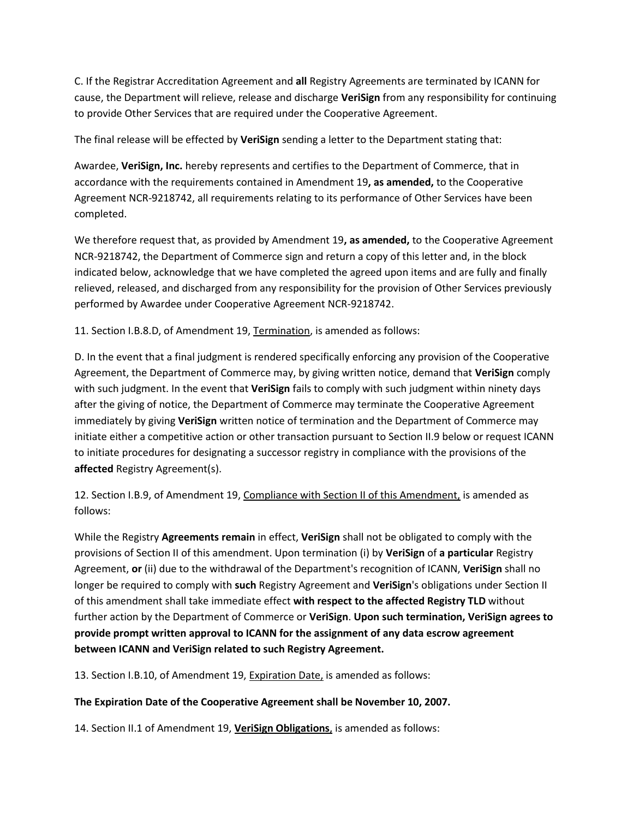C. If the Registrar Accreditation Agreement and **all** Registry Agreements are terminated by ICANN for cause, the Department will relieve, release and discharge **VeriSign** from any responsibility for continuing to provide Other Services that are required under the Cooperative Agreement.

The final release will be effected by **VeriSign** sending a letter to the Department stating that:

Awardee, **VeriSign, Inc.** hereby represents and certifies to the Department of Commerce, that in accordance with the requirements contained in Amendment 19**, as amended,** to the Cooperative Agreement NCR-9218742, all requirements relating to its performance of Other Services have been completed.

We therefore request that, as provided by Amendment 19**, as amended,** to the Cooperative Agreement NCR-9218742, the Department of Commerce sign and return a copy of this letter and, in the block indicated below, acknowledge that we have completed the agreed upon items and are fully and finally relieved, released, and discharged from any responsibility for the provision of Other Services previously performed by Awardee under Cooperative Agreement NCR-9218742.

11. Section I.B.8.D, of Amendment 19, Termination, is amended as follows:

D. In the event that a final judgment is rendered specifically enforcing any provision of the Cooperative Agreement, the Department of Commerce may, by giving written notice, demand that **VeriSign** comply with such judgment. In the event that **VeriSign** fails to comply with such judgment within ninety days after the giving of notice, the Department of Commerce may terminate the Cooperative Agreement immediately by giving **VeriSign** written notice of termination and the Department of Commerce may initiate either a competitive action or other transaction pursuant to Section II.9 below or request ICANN to initiate procedures for designating a successor registry in compliance with the provisions of the **affected** Registry Agreement(s).

12. Section I.B.9, of Amendment 19, Compliance with Section II of this Amendment, is amended as follows:

While the Registry **Agreements remain** in effect, **VeriSign** shall not be obligated to comply with the provisions of Section II of this amendment. Upon termination (i) by **VeriSign** of **a particular** Registry Agreement, **or** (ii) due to the withdrawal of the Department's recognition of ICANN, **VeriSign** shall no longer be required to comply with **such** Registry Agreement and **VeriSign**'s obligations under Section II of this amendment shall take immediate effect **with respect to the affected Registry TLD** without further action by the Department of Commerce or **VeriSign**. **Upon such termination, VeriSign agrees to provide prompt written approval to ICANN for the assignment of any data escrow agreement between ICANN and VeriSign related to such Registry Agreement.**

13. Section I.B.10, of Amendment 19, Expiration Date, is amended as follows:

## **The Expiration Date of the Cooperative Agreement shall be November 10, 2007.**

14. Section II.1 of Amendment 19, **VeriSign Obligations**, is amended as follows: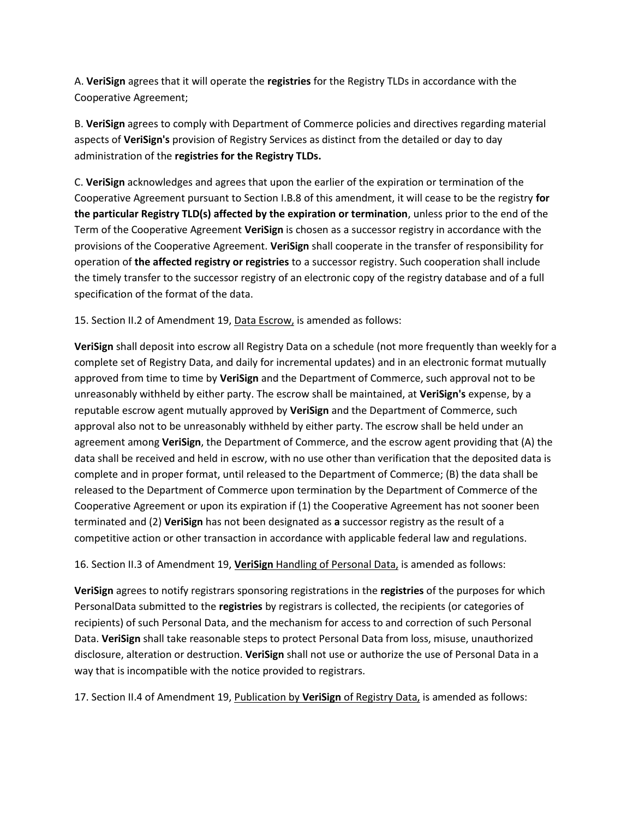A. **VeriSign** agrees that it will operate the **registries** for the Registry TLDs in accordance with the Cooperative Agreement;

B. **VeriSign** agrees to comply with Department of Commerce policies and directives regarding material aspects of **VeriSign's** provision of Registry Services as distinct from the detailed or day to day administration of the **registries for the Registry TLDs.**

C. **VeriSign** acknowledges and agrees that upon the earlier of the expiration or termination of the Cooperative Agreement pursuant to Section I.B.8 of this amendment, it will cease to be the registry **for the particular Registry TLD(s) affected by the expiration or termination**, unless prior to the end of the Term of the Cooperative Agreement **VeriSign** is chosen as a successor registry in accordance with the provisions of the Cooperative Agreement. **VeriSign** shall cooperate in the transfer of responsibility for operation of **the affected registry or registries** to a successor registry. Such cooperation shall include the timely transfer to the successor registry of an electronic copy of the registry database and of a full specification of the format of the data.

15. Section II.2 of Amendment 19, Data Escrow, is amended as follows:

**VeriSign** shall deposit into escrow all Registry Data on a schedule (not more frequently than weekly for a complete set of Registry Data, and daily for incremental updates) and in an electronic format mutually approved from time to time by **VeriSign** and the Department of Commerce, such approval not to be unreasonably withheld by either party. The escrow shall be maintained, at **VeriSign's** expense, by a reputable escrow agent mutually approved by **VeriSign** and the Department of Commerce, such approval also not to be unreasonably withheld by either party. The escrow shall be held under an agreement among **VeriSign**, the Department of Commerce, and the escrow agent providing that (A) the data shall be received and held in escrow, with no use other than verification that the deposited data is complete and in proper format, until released to the Department of Commerce; (B) the data shall be released to the Department of Commerce upon termination by the Department of Commerce of the Cooperative Agreement or upon its expiration if (1) the Cooperative Agreement has not sooner been terminated and (2) **VeriSign** has not been designated as **a** successor registry as the result of a competitive action or other transaction in accordance with applicable federal law and regulations.

16. Section II.3 of Amendment 19, **VeriSign** Handling of Personal Data, is amended as follows:

**VeriSign** agrees to notify registrars sponsoring registrations in the **registries** of the purposes for which PersonalData submitted to the **registries** by registrars is collected, the recipients (or categories of recipients) of such Personal Data, and the mechanism for access to and correction of such Personal Data. **VeriSign** shall take reasonable steps to protect Personal Data from loss, misuse, unauthorized disclosure, alteration or destruction. **VeriSign** shall not use or authorize the use of Personal Data in a way that is incompatible with the notice provided to registrars.

17. Section II.4 of Amendment 19, Publication by **VeriSign** of Registry Data, is amended as follows: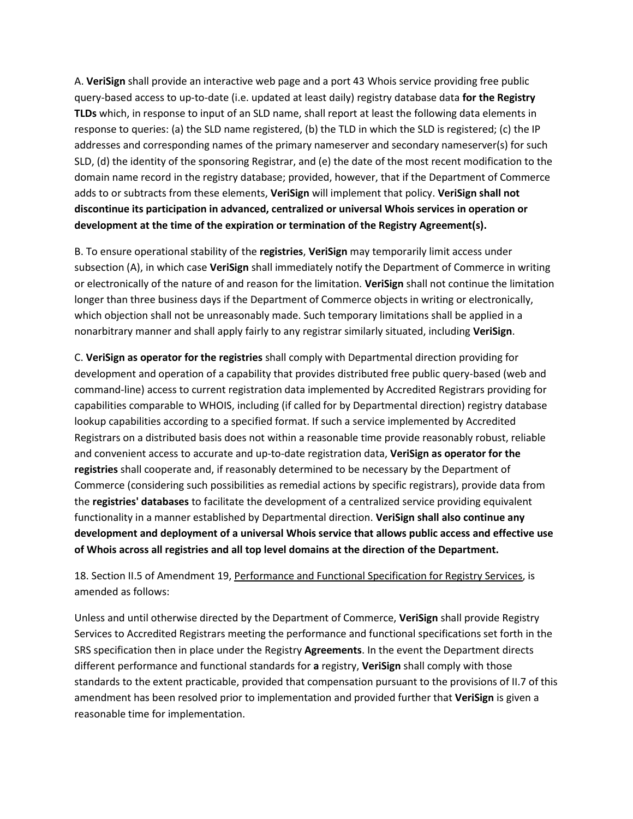A. **VeriSign** shall provide an interactive web page and a port 43 Whois service providing free public query-based access to up-to-date (i.e. updated at least daily) registry database data **for the Registry TLDs** which, in response to input of an SLD name, shall report at least the following data elements in response to queries: (a) the SLD name registered, (b) the TLD in which the SLD is registered; (c) the IP addresses and corresponding names of the primary nameserver and secondary nameserver(s) for such SLD, (d) the identity of the sponsoring Registrar, and (e) the date of the most recent modification to the domain name record in the registry database; provided, however, that if the Department of Commerce adds to or subtracts from these elements, **VeriSign** will implement that policy. **VeriSign shall not discontinue its participation in advanced, centralized or universal Whois services in operation or development at the time of the expiration or termination of the Registry Agreement(s).**

B. To ensure operational stability of the **registries**, **VeriSign** may temporarily limit access under subsection (A), in which case **VeriSign** shall immediately notify the Department of Commerce in writing or electronically of the nature of and reason for the limitation. **VeriSign** shall not continue the limitation longer than three business days if the Department of Commerce objects in writing or electronically, which objection shall not be unreasonably made. Such temporary limitations shall be applied in a nonarbitrary manner and shall apply fairly to any registrar similarly situated, including **VeriSign**.

C. **VeriSign as operator for the registries** shall comply with Departmental direction providing for development and operation of a capability that provides distributed free public query-based (web and command-line) access to current registration data implemented by Accredited Registrars providing for capabilities comparable to WHOIS, including (if called for by Departmental direction) registry database lookup capabilities according to a specified format. If such a service implemented by Accredited Registrars on a distributed basis does not within a reasonable time provide reasonably robust, reliable and convenient access to accurate and up-to-date registration data, **VeriSign as operator for the registries** shall cooperate and, if reasonably determined to be necessary by the Department of Commerce (considering such possibilities as remedial actions by specific registrars), provide data from the **registries' databases** to facilitate the development of a centralized service providing equivalent functionality in a manner established by Departmental direction. **VeriSign shall also continue any development and deployment of a universal Whois service that allows public access and effective use of Whois across all registries and all top level domains at the direction of the Department.**

## 18. Section II.5 of Amendment 19, Performance and Functional Specification for Registry Services, is amended as follows:

Unless and until otherwise directed by the Department of Commerce, **VeriSign** shall provide Registry Services to Accredited Registrars meeting the performance and functional specifications set forth in the SRS specification then in place under the Registry **Agreements**. In the event the Department directs different performance and functional standards for **a** registry, **VeriSign** shall comply with those standards to the extent practicable, provided that compensation pursuant to the provisions of II.7 of this amendment has been resolved prior to implementation and provided further that **VeriSign** is given a reasonable time for implementation.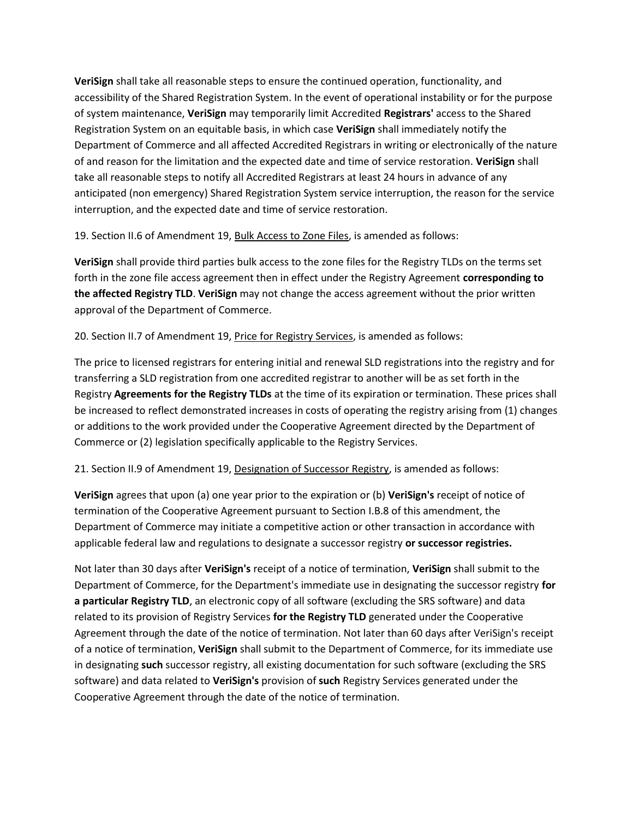**VeriSign** shall take all reasonable steps to ensure the continued operation, functionality, and accessibility of the Shared Registration System. In the event of operational instability or for the purpose of system maintenance, **VeriSign** may temporarily limit Accredited **Registrars'** access to the Shared Registration System on an equitable basis, in which case **VeriSign** shall immediately notify the Department of Commerce and all affected Accredited Registrars in writing or electronically of the nature of and reason for the limitation and the expected date and time of service restoration. **VeriSign** shall take all reasonable steps to notify all Accredited Registrars at least 24 hours in advance of any anticipated (non emergency) Shared Registration System service interruption, the reason for the service interruption, and the expected date and time of service restoration.

19. Section II.6 of Amendment 19, Bulk Access to Zone Files, is amended as follows:

**VeriSign** shall provide third parties bulk access to the zone files for the Registry TLDs on the terms set forth in the zone file access agreement then in effect under the Registry Agreement **corresponding to the affected Registry TLD**. **VeriSign** may not change the access agreement without the prior written approval of the Department of Commerce.

20. Section II.7 of Amendment 19, Price for Registry Services, is amended as follows:

The price to licensed registrars for entering initial and renewal SLD registrations into the registry and for transferring a SLD registration from one accredited registrar to another will be as set forth in the Registry **Agreements for the Registry TLDs** at the time of its expiration or termination. These prices shall be increased to reflect demonstrated increases in costs of operating the registry arising from (1) changes or additions to the work provided under the Cooperative Agreement directed by the Department of Commerce or (2) legislation specifically applicable to the Registry Services.

21. Section II.9 of Amendment 19, Designation of Successor Registry, is amended as follows:

**VeriSign** agrees that upon (a) one year prior to the expiration or (b) **VeriSign's** receipt of notice of termination of the Cooperative Agreement pursuant to Section I.B.8 of this amendment, the Department of Commerce may initiate a competitive action or other transaction in accordance with applicable federal law and regulations to designate a successor registry **or successor registries.**

Not later than 30 days after **VeriSign's** receipt of a notice of termination, **VeriSign** shall submit to the Department of Commerce, for the Department's immediate use in designating the successor registry **for a particular Registry TLD**, an electronic copy of all software (excluding the SRS software) and data related to its provision of Registry Services **for the Registry TLD** generated under the Cooperative Agreement through the date of the notice of termination. Not later than 60 days after VeriSign's receipt of a notice of termination, **VeriSign** shall submit to the Department of Commerce, for its immediate use in designating **such** successor registry, all existing documentation for such software (excluding the SRS software) and data related to **VeriSign's** provision of **such** Registry Services generated under the Cooperative Agreement through the date of the notice of termination.